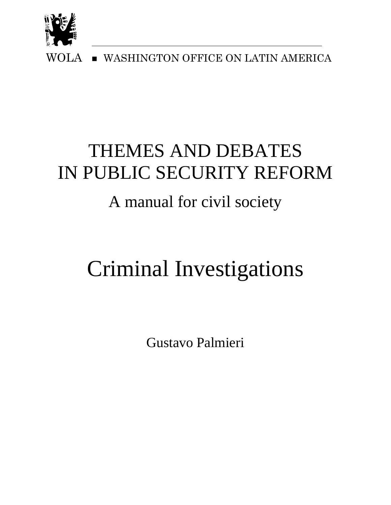

WOLA **WASHINGTON OFFICE ON LATIN AMERICA** 

## THEMES AND DEBATES IN PUBLIC SECURITY REFORM

### A manual for civil society

# Criminal Investigations

Gustavo Palmieri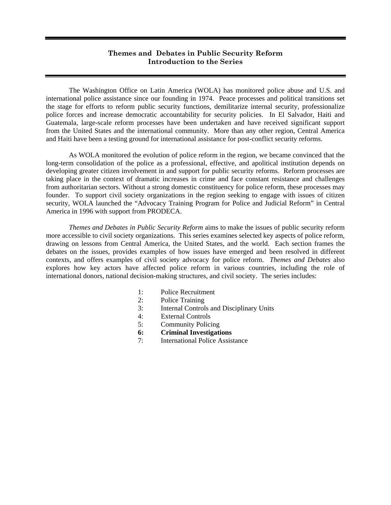#### **Themes and Debates in Public Security Reform Introduction to the Series**

 The Washington Office on Latin America (WOLA) has monitored police abuse and U.S. and international police assistance since our founding in 1974. Peace processes and political transitions set the stage for efforts to reform public security functions, demilitarize internal security, professionalize police forces and increase democratic accountability for security policies. In El Salvador, Haiti and Guatemala, large-scale reform processes have been undertaken and have received significant support from the United States and the international community. More than any other region, Central America and Haiti have been a testing ground for international assistance for post-conflict security reforms.

 As WOLA monitored the evolution of police reform in the region, we became convinced that the long-term consolidation of the police as a professional, effective, and apolitical institution depends on developing greater citizen involvement in and support for public security reforms. Reform processes are taking place in the context of dramatic increases in crime and face constant resistance and challenges from authoritarian sectors. Without a strong domestic constituency for police reform, these processes may founder. To support civil society organizations in the region seeking to engage with issues of citizen security, WOLA launched the "Advocacy Training Program for Police and Judicial Reform" in Central America in 1996 with support from PRODECA.

*Themes and Debates in Public Security Reform* aims to make the issues of public security reform more accessible to civil society organizations. This series examines selected key aspects of police reform, drawing on lessons from Central America, the United States, and the world. Each section frames the debates on the issues, provides examples of how issues have emerged and been resolved in different contexts, and offers examples of civil society advocacy for police reform. *Themes and Debates* also explores how key actors have affected police reform in various countries, including the role of international donors, national decision-making structures, and civil society. The series includes:

- 1: Police Recruitment
- 2: Police Training
- 3: Internal Controls and Disciplinary Units
- 4: External Controls
- 5: Community Policing
- **6: Criminal Investigations**
- 7: International Police Assistance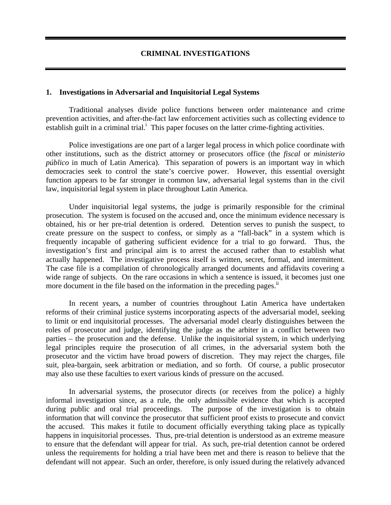#### **CRIMINAL INVESTIGATIONS**

#### **1. Investigations in Adversarial and Inquisitorial Legal Systems**

Traditional analyses divide police functions between order maintenance and crime prevention activities, and after-the-fact law enforcement activities such as collecting evidence to establish guilt in a criminal trial.<sup>i</sup> This paper focuses on the latter crime-fighting activities.

Police investigations are one part of a larger legal process in which police coordinate with other institutions, such as the district attorney or prosecutors office (the *fiscal* or *ministerio público* in much of Latin America). This separation of powers is an important way in which democracies seek to control the state's coercive power. However, this essential oversight function appears to be far stronger in common law, adversarial legal systems than in the civil law, inquisitorial legal system in place throughout Latin America.

Under inquisitorial legal systems, the judge is primarily responsible for the criminal prosecution. The system is focused on the accused and, once the minimum evidence necessary is obtained, his or her pre-trial detention is ordered. Detention serves to punish the suspect, to create pressure on the suspect to confess, or simply as a "fall-back" in a system which is frequently incapable of gathering sufficient evidence for a trial to go forward. Thus, the investigation's first and principal aim is to arrest the accused rather than to establish what actually happened. The investigative process itself is written, secret, formal, and intermittent. The case file is a compilation of chronologically arranged documents and affidavits covering a wide range of subjects. On the rare occasions in which a sentence is issued, it becomes just one more document in the file based on the information in the preceding pages. $\mathbf{u}$ 

In recent years, a number of countries throughout Latin America have undertaken reforms of their criminal justice systems incorporating aspects of the adversarial model, seeking to limit or end inquisitorial processes. The adversarial model clearly distinguishes between the roles of prosecutor and judge, identifying the judge as the arbiter in a conflict between two parties – the prosecution and the defense. Unlike the inquisitorial system, in which underlying legal principles require the prosecution of all crimes, in the adversarial system both the prosecutor and the victim have broad powers of discretion. They may reject the charges, file suit, plea-bargain, seek arbitration or mediation, and so forth. Of course, a public prosecutor may also use these faculties to exert various kinds of pressure on the accused.

In adversarial systems, the prosecutor directs (or receives from the police) a highly informal investigation since, as a rule, the only admissible evidence that which is accepted during public and oral trial proceedings. The purpose of the investigation is to obtain information that will convince the prosecutor that sufficient proof exists to prosecute and convict the accused. This makes it futile to document officially everything taking place as typically happens in inquisitorial processes. Thus, pre-trial detention is understood as an extreme measure to ensure that the defendant will appear for trial. As such, pre-trial detention cannot be ordered unless the requirements for holding a trial have been met and there is reason to believe that the defendant will not appear. Such an order, therefore, is only issued during the relatively advanced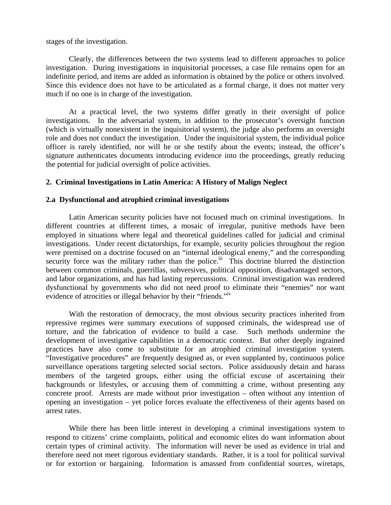stages of the investigation.

Clearly, the differences between the two systems lead to different approaches to police investigation. During investigations in inquisitorial processes, a case file remains open for an indefinite period, and items are added as information is obtained by the police or others involved. Since this evidence does not have to be articulated as a formal charge, it does not matter very much if no one is in charge of the investigation.

At a practical level, the two systems differ greatly in their oversight of police investigations. In the adversarial system, in addition to the prosecutor's oversight function (which is virtually nonexistent in the inquisitorial system), the judge also performs an oversight role and does not conduct the investigation. Under the inquisitorial system, the individual police officer is rarely identified, nor will he or she testify about the events; instead, the officer's signature authenticates documents introducing evidence into the proceedings, greatly reducing the potential for judicial oversight of police activities.

#### **2. Criminal Investigations in Latin America: A History of Malign Neglect**

#### **2.a Dysfunctional and atrophied criminal investigations**

Latin American security policies have not focused much on criminal investigations. In different countries at different times, a mosaic of irregular, punitive methods have been employed in situations where legal and theoretical guidelines called for judicial and criminal investigations. Under recent dictatorships, for example, security policies throughout the region were premised on a doctrine focused on an "internal ideological enemy," and the corresponding security force was the military rather than the police.<sup>iii</sup> This doctrine blurred the distinction between common criminals, guerrillas, subversives, political opposition, disadvantaged sectors, and labor organizations, and has had lasting repercussions. Criminal investigation was rendered dysfunctional by governments who did not need proof to eliminate their "enemies" nor want evidence of atrocities or illegal behavior by their "friends."<sup>iv</sup>

With the restoration of democracy, the most obvious security practices inherited from repressive regimes were summary executions of supposed criminals, the widespread use of torture, and the fabrication of evidence to build a case. Such methods undermine the development of investigative capabilities in a democratic context. But other deeply ingrained practices have also come to substitute for an atrophied criminal investigation system. "Investigative procedures" are frequently designed as, or even supplanted by, continuous police surveillance operations targeting selected social sectors. Police assiduously detain and harass members of the targeted groups, either using the official excuse of ascertaining their backgrounds or lifestyles, or accusing them of committing a crime, without presenting any concrete proof. Arrests are made without prior investigation – often without any intention of opening an investigation – yet police forces evaluate the effectiveness of their agents based on arrest rates.

While there has been little interest in developing a criminal investigations system to respond to citizens' crime complaints, political and economic elites do want information about certain types of criminal activity. The information will never be used as evidence in trial and therefore need not meet rigorous evidentiary standards. Rather, it is a tool for political survival or for extortion or bargaining. Information is amassed from confidential sources, wiretaps,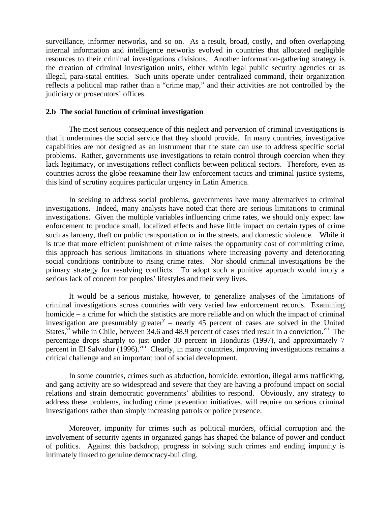surveillance, informer networks, and so on. As a result, broad, costly, and often overlapping internal information and intelligence networks evolved in countries that allocated negligible resources to their criminal investigations divisions. Another information-gathering strategy is the creation of criminal investigation units, either within legal public security agencies or as illegal, para-statal entities. Such units operate under centralized command, their organization reflects a political map rather than a "crime map," and their activities are not controlled by the judiciary or prosecutors' offices.

#### **2.b The social function of criminal investigation**

The most serious consequence of this neglect and perversion of criminal investigations is that it undermines the social service that they should provide. In many countries, investigative capabilities are not designed as an instrument that the state can use to address specific social problems. Rather, governments use investigations to retain control through coercion when they lack legitimacy, or investigations reflect conflicts between political sectors. Therefore, even as countries across the globe reexamine their law enforcement tactics and criminal justice systems, this kind of scrutiny acquires particular urgency in Latin America.

In seeking to address social problems, governments have many alternatives to criminal investigations. Indeed, many analysts have noted that there are serious limitations to criminal investigations. Given the multiple variables influencing crime rates, we should only expect law enforcement to produce small, localized effects and have little impact on certain types of crime such as larceny, theft on public transportation or in the streets, and domestic violence. While it is true that more efficient punishment of crime raises the opportunity cost of committing crime, this approach has serious limitations in situations where increasing poverty and deteriorating social conditions contribute to rising crime rates. Nor should criminal investigations be the primary strategy for resolving conflicts. To adopt such a punitive approach would imply a serious lack of concern for peoples' lifestyles and their very lives.

It would be a serious mistake, however, to generalize analyses of the limitations of criminal investigations across countries with very varied law enforcement records. Examining homicide – a crime for which the statistics are more reliable and on which the impact of criminal investigation are presumably greater<sup> $v$ </sup> – nearly 45 percent of cases are solved in the United States,  $\overline{v}$  while in Chile, between 34.6 and 48.9 percent of cases tried result in a conviction.<sup>vii</sup> The percentage drops sharply to just under 30 percent in Honduras (1997), and approximately 7 percent in El Salvador (1996).<sup>viii</sup> Clearly, in many countries, improving investigations remains a critical challenge and an important tool of social development.

In some countries, crimes such as abduction, homicide, extortion, illegal arms trafficking, and gang activity are so widespread and severe that they are having a profound impact on social relations and strain democratic governments' abilities to respond. Obviously, any strategy to address these problems, including crime prevention initiatives, will require on serious criminal investigations rather than simply increasing patrols or police presence.

Moreover, impunity for crimes such as political murders, official corruption and the involvement of security agents in organized gangs has shaped the balance of power and conduct of politics. Against this backdrop, progress in solving such crimes and ending impunity is intimately linked to genuine democracy-building.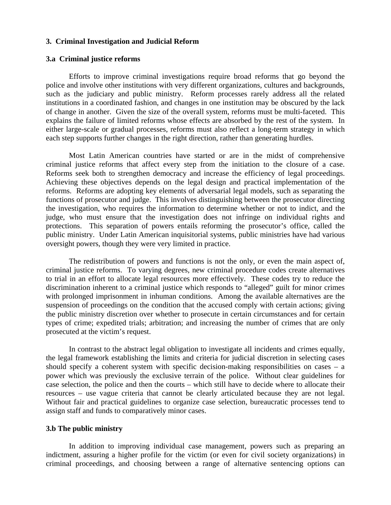#### **3. Criminal Investigation and Judicial Reform**

#### **3.a Criminal justice reforms**

Efforts to improve criminal investigations require broad reforms that go beyond the police and involve other institutions with very different organizations, cultures and backgrounds, such as the judiciary and public ministry. Reform processes rarely address all the related institutions in a coordinated fashion, and changes in one institution may be obscured by the lack of change in another. Given the size of the overall system, reforms must be multi-faceted. This explains the failure of limited reforms whose effects are absorbed by the rest of the system. In either large-scale or gradual processes, reforms must also reflect a long-term strategy in which each step supports further changes in the right direction, rather than generating hurdles.

Most Latin American countries have started or are in the midst of comprehensive criminal justice reforms that affect every step from the initiation to the closure of a case. Reforms seek both to strengthen democracy and increase the efficiency of legal proceedings. Achieving these objectives depends on the legal design and practical implementation of the reforms. Reforms are adopting key elements of adversarial legal models, such as separating the functions of prosecutor and judge. This involves distinguishing between the prosecutor directing the investigation, who requires the information to determine whether or not to indict, and the judge, who must ensure that the investigation does not infringe on individual rights and protections. This separation of powers entails reforming the prosecutor's office, called the public ministry. Under Latin American inquisitorial systems, public ministries have had various oversight powers, though they were very limited in practice.

The redistribution of powers and functions is not the only, or even the main aspect of, criminal justice reforms. To varying degrees, new criminal procedure codes create alternatives to trial in an effort to allocate legal resources more effectively. These codes try to reduce the discrimination inherent to a criminal justice which responds to "alleged" guilt for minor crimes with prolonged imprisonment in inhuman conditions. Among the available alternatives are the suspension of proceedings on the condition that the accused comply with certain actions; giving the public ministry discretion over whether to prosecute in certain circumstances and for certain types of crime; expedited trials; arbitration; and increasing the number of crimes that are only prosecuted at the victim's request.

In contrast to the abstract legal obligation to investigate all incidents and crimes equally, the legal framework establishing the limits and criteria for judicial discretion in selecting cases should specify a coherent system with specific decision-making responsibilities on cases  $-$  a power which was previously the exclusive terrain of the police. Without clear guidelines for case selection, the police and then the courts – which still have to decide where to allocate their resources – use vague criteria that cannot be clearly articulated because they are not legal. Without fair and practical guidelines to organize case selection, bureaucratic processes tend to assign staff and funds to comparatively minor cases.

#### **3.b The public ministry**

In addition to improving individual case management, powers such as preparing an indictment, assuring a higher profile for the victim (or even for civil society organizations) in criminal proceedings, and choosing between a range of alternative sentencing options can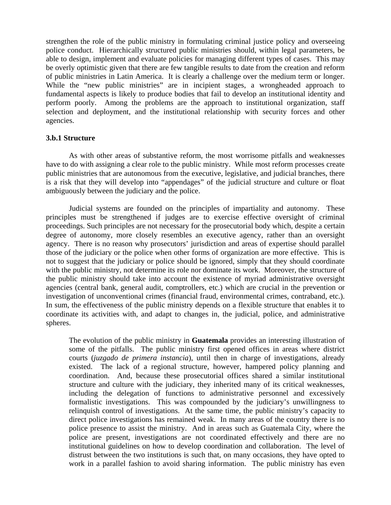strengthen the role of the public ministry in formulating criminal justice policy and overseeing police conduct. Hierarchically structured public ministries should, within legal parameters, be able to design, implement and evaluate policies for managing different types of cases. This may be overly optimistic given that there are few tangible results to date from the creation and reform of public ministries in Latin America. It is clearly a challenge over the medium term or longer. While the "new public ministries" are in incipient stages, a wrongheaded approach to fundamental aspects is likely to produce bodies that fail to develop an institutional identity and perform poorly. Among the problems are the approach to institutional organization, staff selection and deployment, and the institutional relationship with security forces and other agencies.

#### **3.b.1 Structure**

As with other areas of substantive reform, the most worrisome pitfalls and weaknesses have to do with assigning a clear role to the public ministry. While most reform processes create public ministries that are autonomous from the executive, legislative, and judicial branches, there is a risk that they will develop into "appendages" of the judicial structure and culture or float ambiguously between the judiciary and the police.

Judicial systems are founded on the principles of impartiality and autonomy. These principles must be strengthened if judges are to exercise effective oversight of criminal proceedings. Such principles are not necessary for the prosecutorial body which, despite a certain degree of autonomy, more closely resembles an executive agency, rather than an oversight agency. There is no reason why prosecutors' jurisdiction and areas of expertise should parallel those of the judiciary or the police when other forms of organization are more effective. This is not to suggest that the judiciary or police should be ignored, simply that they should coordinate with the public ministry, not determine its role nor dominate its work. Moreover, the structure of the public ministry should take into account the existence of myriad administrative oversight agencies (central bank, general audit, comptrollers, etc.) which are crucial in the prevention or investigation of unconventional crimes (financial fraud, environmental crimes, contraband, etc.). In sum, the effectiveness of the public ministry depends on a flexible structure that enables it to coordinate its activities with, and adapt to changes in, the judicial, police, and administrative spheres.

The evolution of the public ministry in **Guatemala** provides an interesting illustration of some of the pitfalls. The public ministry first opened offices in areas where district courts (*juzgado de primera instancia*), until then in charge of investigations, already existed. The lack of a regional structure, however, hampered policy planning and coordination. And, because these prosecutorial offices shared a similar institutional structure and culture with the judiciary, they inherited many of its critical weaknesses, including the delegation of functions to administrative personnel and excessively formalistic investigations. This was compounded by the judiciary's unwillingness to relinquish control of investigations. At the same time, the public ministry's capacity to direct police investigations has remained weak. In many areas of the country there is no police presence to assist the ministry. And in areas such as Guatemala City, where the police are present, investigations are not coordinated effectively and there are no institutional guidelines on how to develop coordination and collaboration. The level of distrust between the two institutions is such that, on many occasions, they have opted to work in a parallel fashion to avoid sharing information. The public ministry has even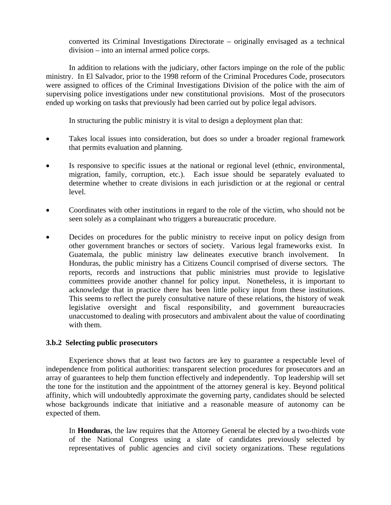converted its Criminal Investigations Directorate – originally envisaged as a technical division – into an internal armed police corps.

In addition to relations with the judiciary, other factors impinge on the role of the public ministry. In El Salvador, prior to the 1998 reform of the Criminal Procedures Code, prosecutors were assigned to offices of the Criminal Investigations Division of the police with the aim of supervising police investigations under new constitutional provisions. Most of the prosecutors ended up working on tasks that previously had been carried out by police legal advisors.

In structuring the public ministry it is vital to design a deployment plan that:

- Takes local issues into consideration, but does so under a broader regional framework that permits evaluation and planning.
- Is responsive to specific issues at the national or regional level (ethnic, environmental, migration, family, corruption, etc.). Each issue should be separately evaluated to determine whether to create divisions in each jurisdiction or at the regional or central level.
- Coordinates with other institutions in regard to the role of the victim, who should not be seen solely as a complainant who triggers a bureaucratic procedure.
- Decides on procedures for the public ministry to receive input on policy design from other government branches or sectors of society. Various legal frameworks exist. In Guatemala, the public ministry law delineates executive branch involvement. In Honduras, the public ministry has a Citizens Council comprised of diverse sectors. The reports, records and instructions that public ministries must provide to legislative committees provide another channel for policy input. Nonetheless, it is important to acknowledge that in practice there has been little policy input from these institutions. This seems to reflect the purely consultative nature of these relations, the history of weak legislative oversight and fiscal responsibility, and government bureaucracies unaccustomed to dealing with prosecutors and ambivalent about the value of coordinating with them.

#### **3.b.2 Selecting public prosecutors**

Experience shows that at least two factors are key to guarantee a respectable level of independence from political authorities: transparent selection procedures for prosecutors and an array of guarantees to help them function effectively and independently. Top leadership will set the tone for the institution and the appointment of the attorney general is key. Beyond political affinity, which will undoubtedly approximate the governing party, candidates should be selected whose backgrounds indicate that initiative and a reasonable measure of autonomy can be expected of them.

In **Honduras**, the law requires that the Attorney General be elected by a two-thirds vote of the National Congress using a slate of candidates previously selected by representatives of public agencies and civil society organizations. These regulations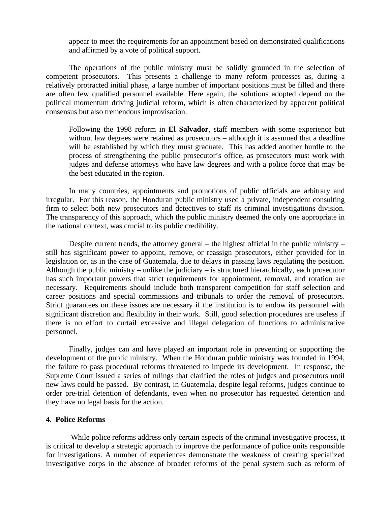appear to meet the requirements for an appointment based on demonstrated qualifications and affirmed by a vote of political support.

The operations of the public ministry must be solidly grounded in the selection of competent prosecutors. This presents a challenge to many reform processes as, during a relatively protracted initial phase, a large number of important positions must be filled and there are often few qualified personnel available. Here again, the solutions adopted depend on the political momentum driving judicial reform, which is often characterized by apparent political consensus but also tremendous improvisation.

Following the 1998 reform in **El Salvador**, staff members with some experience but without law degrees were retained as prosecutors – although it is assumed that a deadline will be established by which they must graduate. This has added another hurdle to the process of strengthening the public prosecutor's office, as prosecutors must work with judges and defense attorneys who have law degrees and with a police force that may be the best educated in the region.

In many countries, appointments and promotions of public officials are arbitrary and irregular. For this reason, the Honduran public ministry used a private, independent consulting firm to select both new prosecutors and detectives to staff its criminal investigations division. The transparency of this approach, which the public ministry deemed the only one appropriate in the national context, was crucial to its public credibility.

Despite current trends, the attorney general – the highest official in the public ministry – still has significant power to appoint, remove, or reassign prosecutors, either provided for in legislation or, as in the case of Guatemala, due to delays in passing laws regulating the position. Although the public ministry – unlike the judiciary – is structured hierarchically, each prosecutor has such important powers that strict requirements for appointment, removal, and rotation are necessary. Requirements should include both transparent competition for staff selection and career positions and special commissions and tribunals to order the removal of prosecutors. Strict guarantees on these issues are necessary if the institution is to endow its personnel with significant discretion and flexibility in their work. Still, good selection procedures are useless if there is no effort to curtail excessive and illegal delegation of functions to administrative personnel.

 Finally, judges can and have played an important role in preventing or supporting the development of the public ministry. When the Honduran public ministry was founded in 1994, the failure to pass procedural reforms threatened to impede its development. In response, the Supreme Court issued a series of rulings that clarified the roles of judges and prosecutors until new laws could be passed. By contrast, in Guatemala, despite legal reforms, judges continue to order pre-trial detention of defendants, even when no prosecutor has requested detention and they have no legal basis for the action.

#### **4. Police Reforms**

 While police reforms address only certain aspects of the criminal investigative process, it is critical to develop a strategic approach to improve the performance of police units responsible for investigations. A number of experiences demonstrate the weakness of creating specialized investigative corps in the absence of broader reforms of the penal system such as reform of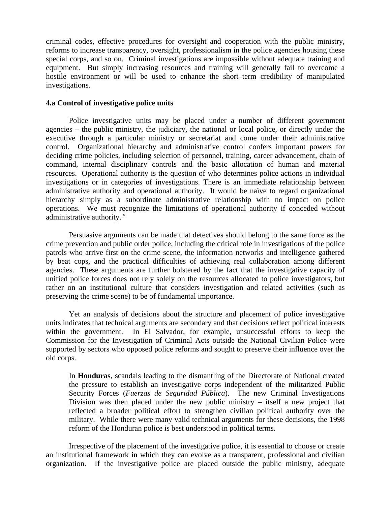criminal codes, effective procedures for oversight and cooperation with the public ministry, reforms to increase transparency, oversight, professionalism in the police agencies housing these special corps, and so on. Criminal investigations are impossible without adequate training and equipment. But simply increasing resources and training will generally fail to overcome a hostile environment or will be used to enhance the short–term credibility of manipulated investigations.

#### **4.a Control of investigative police units**

Police investigative units may be placed under a number of different government agencies – the public ministry, the judiciary, the national or local police, or directly under the executive through a particular ministry or secretariat and come under their administrative control. Organizational hierarchy and administrative control confers important powers for deciding crime policies, including selection of personnel, training, career advancement, chain of command, internal disciplinary controls and the basic allocation of human and material resources. Operational authority is the question of who determines police actions in individual investigations or in categories of investigations. There is an immediate relationship between administrative authority and operational authority. It would be naïve to regard organizational hierarchy simply as a subordinate administrative relationship with no impact on police operations. We must recognize the limitations of operational authority if conceded without administrative authority.<sup>1x</sup>

Persuasive arguments can be made that detectives should belong to the same force as the crime prevention and public order police, including the critical role in investigations of the police patrols who arrive first on the crime scene, the information networks and intelligence gathered by beat cops, and the practical difficulties of achieving real collaboration among different agencies. These arguments are further bolstered by the fact that the investigative capacity of unified police forces does not rely solely on the resources allocated to police investigators, but rather on an institutional culture that considers investigation and related activities (such as preserving the crime scene) to be of fundamental importance.

Yet an analysis of decisions about the structure and placement of police investigative units indicates that technical arguments are secondary and that decisions reflect political interests within the government. In El Salvador, for example, unsuccessful efforts to keep the Commission for the Investigation of Criminal Acts outside the National Civilian Police were supported by sectors who opposed police reforms and sought to preserve their influence over the old corps.

In **Honduras**, scandals leading to the dismantling of the Directorate of National created the pressure to establish an investigative corps independent of the militarized Public Security Forces (*Fuerzas de Seguridad Pública*). The new Criminal Investigations Division was then placed under the new public ministry – itself a new project that reflected a broader political effort to strengthen civilian political authority over the military. While there were many valid technical arguments for these decisions, the 1998 reform of the Honduran police is best understood in political terms.

Irrespective of the placement of the investigative police, it is essential to choose or create an institutional framework in which they can evolve as a transparent, professional and civilian organization. If the investigative police are placed outside the public ministry, adequate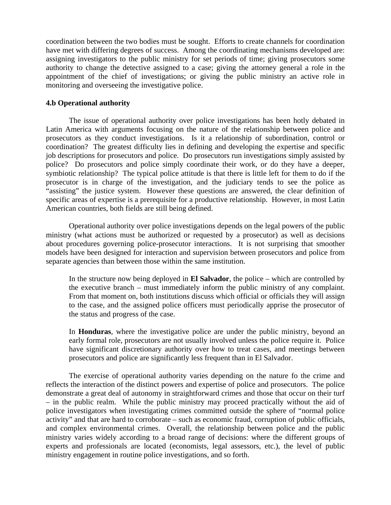coordination between the two bodies must be sought. Efforts to create channels for coordination have met with differing degrees of success. Among the coordinating mechanisms developed are: assigning investigators to the public ministry for set periods of time; giving prosecutors some authority to change the detective assigned to a case; giving the attorney general a role in the appointment of the chief of investigations; or giving the public ministry an active role in monitoring and overseeing the investigative police.

#### **4.b Operational authority**

The issue of operational authority over police investigations has been hotly debated in Latin America with arguments focusing on the nature of the relationship between police and prosecutors as they conduct investigations. Is it a relationship of subordination, control or coordination? The greatest difficulty lies in defining and developing the expertise and specific job descriptions for prosecutors and police. Do prosecutors run investigations simply assisted by police? Do prosecutors and police simply coordinate their work, or do they have a deeper, symbiotic relationship? The typical police attitude is that there is little left for them to do if the prosecutor is in charge of the investigation, and the judiciary tends to see the police as "assisting" the justice system. However these questions are answered, the clear definition of specific areas of expertise is a prerequisite for a productive relationship. However, in most Latin American countries, both fields are still being defined.

Operational authority over police investigations depends on the legal powers of the public ministry (what actions must be authorized or requested by a prosecutor) as well as decisions about procedures governing police-prosecutor interactions. It is not surprising that smoother models have been designed for interaction and supervision between prosecutors and police from separate agencies than between those within the same institution.

In the structure now being deployed in **El Salvador**, the police – which are controlled by the executive branch – must immediately inform the public ministry of any complaint. From that moment on, both institutions discuss which official or officials they will assign to the case, and the assigned police officers must periodically apprise the prosecutor of the status and progress of the case.

In **Honduras**, where the investigative police are under the public ministry, beyond an early formal role, prosecutors are not usually involved unless the police require it. Police have significant discretionary authority over how to treat cases, and meetings between prosecutors and police are significantly less frequent than in El Salvador.

The exercise of operational authority varies depending on the nature fo the crime and reflects the interaction of the distinct powers and expertise of police and prosecutors. The police demonstrate a great deal of autonomy in straightforward crimes and those that occur on their turf – in the public realm. While the public ministry may proceed practically without the aid of police investigators when investigating crimes committed outside the sphere of "normal police activity" and that are hard to corroborate – such as economic fraud, corruption of public officials, and complex environmental crimes. Overall, the relationship between police and the public ministry varies widely according to a broad range of decisions: where the different groups of experts and professionals are located (economists, legal assessors, etc.), the level of public ministry engagement in routine police investigations, and so forth.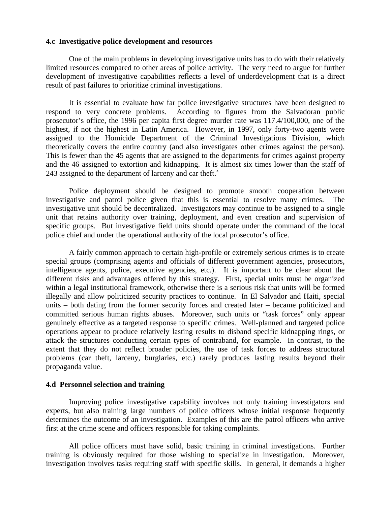#### **4.c Investigative police development and resources**

One of the main problems in developing investigative units has to do with their relatively limited resources compared to other areas of police activity. The very need to argue for further development of investigative capabilities reflects a level of underdevelopment that is a direct result of past failures to prioritize criminal investigations.

It is essential to evaluate how far police investigative structures have been designed to respond to very concrete problems. According to figures from the Salvadoran public prosecutor's office, the 1996 per capita first degree murder rate was 117.4/100,000, one of the highest, if not the highest in Latin America. However, in 1997, only forty-two agents were assigned to the Homicide Department of the Criminal Investigations Division, which theoretically covers the entire country (and also investigates other crimes against the person). This is fewer than the 45 agents that are assigned to the departments for crimes against property and the 46 assigned to extortion and kidnapping. It is almost six times lower than the staff of 243 assigned to the department of larceny and car theft. $^x$ 

Police deployment should be designed to promote smooth cooperation between investigative and patrol police given that this is essential to resolve many crimes. The investigative unit should be decentralized. Investigators may continue to be assigned to a single unit that retains authority over training, deployment, and even creation and supervision of specific groups. But investigative field units should operate under the command of the local police chief and under the operational authority of the local prosecutor's office.

A fairly common approach to certain high-profile or extremely serious crimes is to create special groups (comprising agents and officials of different government agencies, prosecutors, intelligence agents, police, executive agencies, etc.). It is important to be clear about the different risks and advantages offered by this strategy. First, special units must be organized within a legal institutional framework, otherwise there is a serious risk that units will be formed illegally and allow politicized security practices to continue. In El Salvador and Haiti, special units – both dating from the former security forces and created later – became politicized and committed serious human rights abuses. Moreover, such units or "task forces" only appear genuinely effective as a targeted response to specific crimes. Well-planned and targeted police operations appear to produce relatively lasting results to disband specific kidnapping rings, or attack the structures conducting certain types of contraband, for example. In contrast, to the extent that they do not reflect broader policies, the use of task forces to address structural problems (car theft, larceny, burglaries, etc.) rarely produces lasting results beyond their propaganda value.

#### **4.d Personnel selection and training**

Improving police investigative capability involves not only training investigators and experts, but also training large numbers of police officers whose initial response frequently determines the outcome of an investigation. Examples of this are the patrol officers who arrive first at the crime scene and officers responsible for taking complaints.

All police officers must have solid, basic training in criminal investigations. Further training is obviously required for those wishing to specialize in investigation. Moreover, investigation involves tasks requiring staff with specific skills. In general, it demands a higher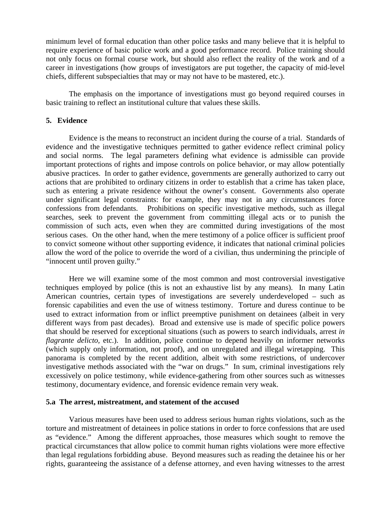minimum level of formal education than other police tasks and many believe that it is helpful to require experience of basic police work and a good performance record. Police training should not only focus on formal course work, but should also reflect the reality of the work and of a career in investigations (how groups of investigators are put together, the capacity of mid-level chiefs, different subspecialties that may or may not have to be mastered, etc.).

The emphasis on the importance of investigations must go beyond required courses in basic training to reflect an institutional culture that values these skills.

#### **5. Evidence**

Evidence is the means to reconstruct an incident during the course of a trial. Standards of evidence and the investigative techniques permitted to gather evidence reflect criminal policy and social norms. The legal parameters defining what evidence is admissible can provide important protections of rights and impose controls on police behavior, or may allow potentially abusive practices. In order to gather evidence, governments are generally authorized to carry out actions that are prohibited to ordinary citizens in order to establish that a crime has taken place, such as entering a private residence without the owner's consent. Governments also operate under significant legal constraints: for example, they may not in any circumstances force confessions from defendants. Prohibitions on specific investigative methods, such as illegal searches, seek to prevent the government from committing illegal acts or to punish the commission of such acts, even when they are committed during investigations of the most serious cases. On the other hand, when the mere testimony of a police officer is sufficient proof to convict someone without other supporting evidence, it indicates that national criminal policies allow the word of the police to override the word of a civilian, thus undermining the principle of "innocent until proven guilty."

Here we will examine some of the most common and most controversial investigative techniques employed by police (this is not an exhaustive list by any means). In many Latin American countries, certain types of investigations are severely underdeveloped – such as forensic capabilities and even the use of witness testimony. Torture and duress continue to be used to extract information from or inflict preemptive punishment on detainees (albeit in very different ways from past decades). Broad and extensive use is made of specific police powers that should be reserved for exceptional situations (such as powers to search individuals, arrest *in flagrante delicto*, etc.). In addition, police continue to depend heavily on informer networks (which supply only information, not proof), and on unregulated and illegal wiretapping. This panorama is completed by the recent addition, albeit with some restrictions, of undercover investigative methods associated with the "war on drugs." In sum, criminal investigations rely excessively on police testimony, while evidence-gathering from other sources such as witnesses testimony, documentary evidence, and forensic evidence remain very weak.

#### **5.a The arrest, mistreatment, and statement of the accused**

Various measures have been used to address serious human rights violations, such as the torture and mistreatment of detainees in police stations in order to force confessions that are used as "evidence." Among the different approaches, those measures which sought to remove the practical circumstances that allow police to commit human rights violations were more effective than legal regulations forbidding abuse. Beyond measures such as reading the detainee his or her rights, guaranteeing the assistance of a defense attorney, and even having witnesses to the arrest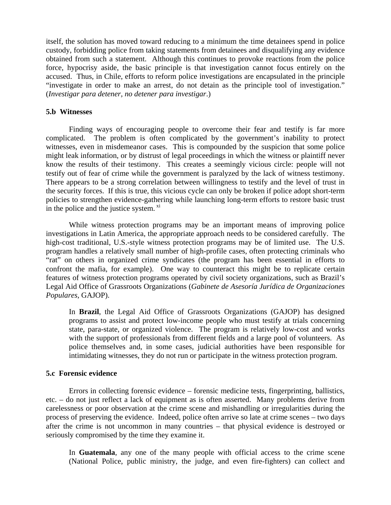itself, the solution has moved toward reducing to a minimum the time detainees spend in police custody, forbidding police from taking statements from detainees and disqualifying any evidence obtained from such a statement. Although this continues to provoke reactions from the police force, hypocrisy aside, the basic principle is that investigation cannot focus entirely on the accused. Thus, in Chile, efforts to reform police investigations are encapsulated in the principle "investigate in order to make an arrest, do not detain as the principle tool of investigation." (*Investigar para detener, no detener para investigar*.)

#### **5.b Witnesses**

Finding ways of encouraging people to overcome their fear and testify is far more complicated. The problem is often complicated by the government's inability to protect witnesses, even in misdemeanor cases. This is compounded by the suspicion that some police might leak information, or by distrust of legal proceedings in which the witness or plaintiff never know the results of their testimony. This creates a seemingly vicious circle: people will not testify out of fear of crime while the government is paralyzed by the lack of witness testimony. There appears to be a strong correlation between willingness to testify and the level of trust in the security forces. If this is true, this vicious cycle can only be broken if police adopt short-term policies to strengthen evidence-gathering while launching long-term efforts to restore basic trust in the police and the justice system. $\frac{xi}{x}$ 

While witness protection programs may be an important means of improving police investigations in Latin America, the appropriate approach needs to be considered carefully. The high-cost traditional, U.S.-style witness protection programs may be of limited use. The U.S. program handles a relatively small number of high-profile cases, often protecting criminals who "rat" on others in organized crime syndicates (the program has been essential in efforts to confront the mafia, for example). One way to counteract this might be to replicate certain features of witness protection programs operated by civil society organizations, such as Brazil's Legal Aid Office of Grassroots Organizations (*Gabinete de Asesoría Jurídica de Organizaciones Populares,* GAJOP).

In **Brazil**, the Legal Aid Office of Grassroots Organizations (GAJOP) has designed programs to assist and protect low-income people who must testify at trials concerning state, para-state, or organized violence. The program is relatively low-cost and works with the support of professionals from different fields and a large pool of volunteers. As police themselves and, in some cases, judicial authorities have been responsible for intimidating witnesses, they do not run or participate in the witness protection program.

#### **5.c Forensic evidence**

Errors in collecting forensic evidence – forensic medicine tests, fingerprinting, ballistics, etc. – do not just reflect a lack of equipment as is often asserted. Many problems derive from carelessness or poor observation at the crime scene and mishandling or irregularities during the process of preserving the evidence. Indeed, police often arrive so late at crime scenes – two days after the crime is not uncommon in many countries – that physical evidence is destroyed or seriously compromised by the time they examine it.

In **Guatemala**, any one of the many people with official access to the crime scene (National Police, public ministry, the judge, and even fire-fighters) can collect and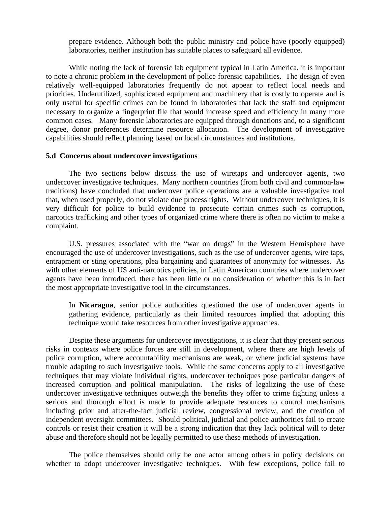prepare evidence. Although both the public ministry and police have (poorly equipped) laboratories, neither institution has suitable places to safeguard all evidence.

While noting the lack of forensic lab equipment typical in Latin America, it is important to note a chronic problem in the development of police forensic capabilities. The design of even relatively well-equipped laboratories frequently do not appear to reflect local needs and priorities. Underutilized, sophisticated equipment and machinery that is costly to operate and is only useful for specific crimes can be found in laboratories that lack the staff and equipment necessary to organize a fingerprint file that would increase speed and efficiency in many more common cases. Many forensic laboratories are equipped through donations and, to a significant degree, donor preferences determine resource allocation. The development of investigative capabilities should reflect planning based on local circumstances and institutions.

#### **5.d Concerns about undercover investigations**

The two sections below discuss the use of wiretaps and undercover agents, two undercover investigative techniques.Many northern countries (from both civil and common-law traditions) have concluded that undercover police operations are a valuable investigative tool that, when used properly, do not violate due process rights. Without undercover techniques, it is very difficult for police to build evidence to prosecute certain crimes such as corruption, narcotics trafficking and other types of organized crime where there is often no victim to make a complaint.

U.S. pressures associated with the "war on drugs" in the Western Hemisphere have encouraged the use of undercover investigations, such as the use of undercover agents, wire taps, entrapment or sting operations, plea bargaining and guarantees of anonymity for witnesses. As with other elements of US anti-narcotics policies, in Latin American countries where undercover agents have been introduced, there has been little or no consideration of whether this is in fact the most appropriate investigative tool in the circumstances.

In **Nicaragua**, senior police authorities questioned the use of undercover agents in gathering evidence, particularly as their limited resources implied that adopting this technique would take resources from other investigative approaches.

Despite these arguments for undercover investigations, it is clear that they present serious risks in contexts where police forces are still in development, where there are high levels of police corruption, where accountability mechanisms are weak, or where judicial systems have trouble adapting to such investigative tools. While the same concerns apply to all investigative techniques that may violate individual rights, undercover techniques pose particular dangers of increased corruption and political manipulation. The risks of legalizing the use of these undercover investigative techniques outweigh the benefits they offer to crime fighting unless a serious and thorough effort is made to provide adequate resources to control mechanisms including prior and after-the-fact judicial review, congressional review, and the creation of independent oversight committees. Should political, judicial and police authorities fail to create controls or resist their creation it will be a strong indication that they lack political will to deter abuse and therefore should not be legally permitted to use these methods of investigation.

The police themselves should only be one actor among others in policy decisions on whether to adopt undercover investigative techniques. With few exceptions, police fail to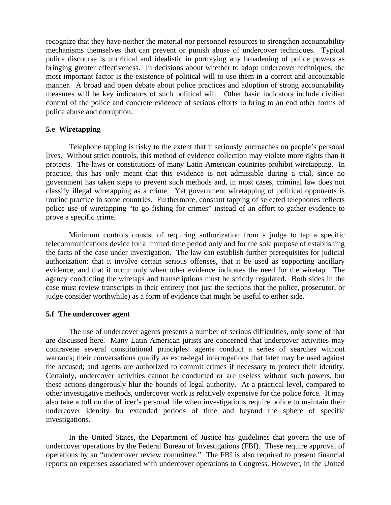recognize that they have neither the material nor personnel resources to strengthen accountability mechanisms themselves that can prevent or punish abuse of undercover techniques. Typical police discourse is uncritical and idealistic in portraying any broadening of police powers as bringing greater effectiveness. In decisions about whether to adopt undercover techniques, the most important factor is the existence of political will to use them in a correct and accountable manner. A broad and open debate about police practices and adoption of strong accountability measures will be key indicators of such political will. Other basic indicators include civilian control of the police and concrete evidence of serious efforts to bring to an end other forms of police abuse and corruption.

#### **5.e Wiretapping**

Telephone tapping is risky to the extent that it seriously encroaches on people's personal lives. Without strict controls, this method of evidence collection may violate more rights than it protects. The laws or constitutions of many Latin American countries prohibit wiretapping. In practice, this has only meant that this evidence is not admissible during a trial, since no government has taken steps to prevent such methods and, in most cases, criminal law does not classify illegal wiretapping as a crime. Yet government wiretapping of political opponents is routine practice in some countries. Furthermore, constant tapping of selected telephones reflects police use of wiretapping "to go fishing for crimes" instead of an effort to gather evidence to prove a specific crime.

Minimum controls consist of requiring authorization from a judge to tap a specific telecommunications device for a limited time period only and for the sole purpose of establishing the facts of the case under investigation. The law can establish further prerequisites for judicial authorization: that it involve certain serious offenses, that it be used as supporting ancillary evidence, and that it occur only when other evidence indicates the need for the wiretap. The agency conducting the wiretaps and transcriptions must be strictly regulated. Both sides in the case must review transcripts in their entirety (not just the sections that the police, prosecutor, or judge consider worthwhile) as a form of evidence that might be useful to either side.

#### **5.f The undercover agent**

The use of undercover agents presents a number of serious difficulties, only some of that are discussed here. Many Latin American jurists are concerned that undercover activities may contravene several constitutional principles: agents conduct a series of searches without warrants; their conversations qualify as extra-legal interrogations that later may be used against the accused; and agents are authorized to commit crimes if necessary to protect their identity. Certainly, undercover activities cannot be conducted or are useless without such powers, but these actions dangerously blur the bounds of legal authority. At a practical level, compared to other investigative methods, undercover work is relatively expensive for the police force. It may also take a toll on the officer's personal life when investigations require police to maintain their undercover identity for extended periods of time and beyond the sphere of specific investigations.

In the United States, the Department of Justice has guidelines that govern the use of undercover operations by the Federal Bureau of Investigations (FBI). These require approval of operations by an "undercover review committee." The FBI is also required to present financial reports on expenses associated with undercover operations to Congress. However, in the United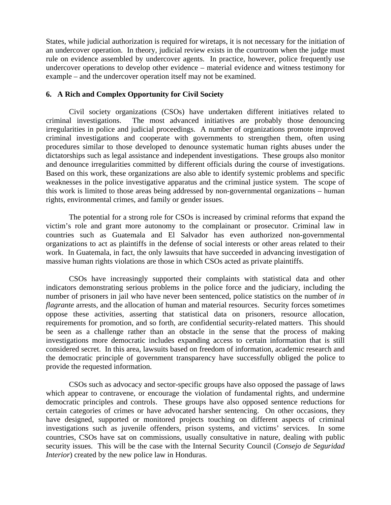States, while judicial authorization is required for wiretaps, it is not necessary for the initiation of an undercover operation. In theory, judicial review exists in the courtroom when the judge must rule on evidence assembled by undercover agents. In practice, however, police frequently use undercover operations to develop other evidence – material evidence and witness testimony for example – and the undercover operation itself may not be examined.

#### **6. A Rich and Complex Opportunity for Civil Society**

Civil society organizations (CSOs) have undertaken different initiatives related to criminal investigations. The most advanced initiatives are probably those denouncing irregularities in police and judicial proceedings. A number of organizations promote improved criminal investigations and cooperate with governments to strengthen them, often using procedures similar to those developed to denounce systematic human rights abuses under the dictatorships such as legal assistance and independent investigations. These groups also monitor and denounce irregularities committed by different officials during the course of investigations. Based on this work, these organizations are also able to identify systemic problems and specific weaknesses in the police investigative apparatus and the criminal justice system. The scope of this work is limited to those areas being addressed by non-governmental organizations – human rights, environmental crimes, and family or gender issues.

The potential for a strong role for CSOs is increased by criminal reforms that expand the victim's role and grant more autonomy to the complainant or prosecutor. Criminal law in countries such as Guatemala and El Salvador has even authorized non-governmental organizations to act as plaintiffs in the defense of social interests or other areas related to their work. In Guatemala, in fact, the only lawsuits that have succeeded in advancing investigation of massive human rights violations are those in which CSOs acted as private plaintiffs.

CSOs have increasingly supported their complaints with statistical data and other indicators demonstrating serious problems in the police force and the judiciary, including the number of prisoners in jail who have never been sentenced, police statistics on the number of *in flagrante* arrests, and the allocation of human and material resources. Security forces sometimes oppose these activities, asserting that statistical data on prisoners, resource allocation, requirements for promotion, and so forth, are confidential security-related matters. This should be seen as a challenge rather than an obstacle in the sense that the process of making investigations more democratic includes expanding access to certain information that is still considered secret. In this area, lawsuits based on freedom of information, academic research and the democratic principle of government transparency have successfully obliged the police to provide the requested information.

CSOs such as advocacy and sector-specific groups have also opposed the passage of laws which appear to contravene, or encourage the violation of fundamental rights, and undermine democratic principles and controls. These groups have also opposed sentence reductions for certain categories of crimes or have advocated harsher sentencing. On other occasions, they have designed, supported or monitored projects touching on different aspects of criminal investigations such as juvenile offenders, prison systems, and victims' services. In some countries, CSOs have sat on commissions, usually consultative in nature, dealing with public security issues. This will be the case with the Internal Security Council (*Consejo de Seguridad Interior*) created by the new police law in Honduras.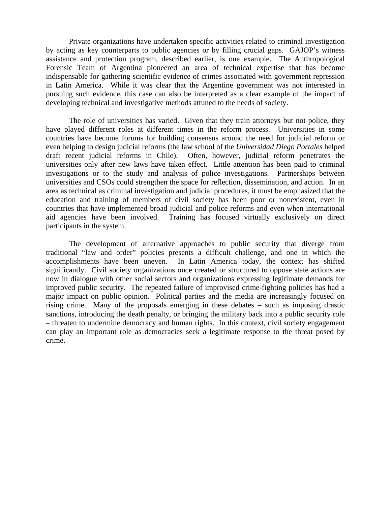Private organizations have undertaken specific activities related to criminal investigation by acting as key counterparts to public agencies or by filling crucial gaps. GAJOP's witness assistance and protection program, described earlier, is one example. The Anthropological Forensic Team of Argentina pioneered an area of technical expertise that has become indispensable for gathering scientific evidence of crimes associated with government repression in Latin America. While it was clear that the Argentine government was not interested in pursuing such evidence, this case can also be interpreted as a clear example of the impact of developing technical and investigative methods attuned to the needs of society.

The role of universities has varied. Given that they train attorneys but not police, they have played different roles at different times in the reform process. Universities in some countries have become forums for building consensus around the need for judicial reform or even helping to design judicial reforms (the law school of the *Universidad Diego Portales* helped draft recent judicial reforms in Chile). Often, however, judicial reform penetrates the universities only after new laws have taken effect. Little attention has been paid to criminal investigations or to the study and analysis of police investigations. Partnerships between universities and CSOs could strengthen the space for reflection, dissemination, and action. In an area as technical as criminal investigation and judicial procedures, it must be emphasized that the education and training of members of civil society has been poor or nonexistent, even in countries that have implemented broad judicial and police reforms and even when international aid agencies have been involved. Training has focused virtually exclusively on direct participants in the system.

The development of alternative approaches to public security that diverge from traditional "law and order" policies presents a difficult challenge, and one in which the accomplishments have been uneven. In Latin America today, the context has shifted significantly. Civil society organizations once created or structured to oppose state actions are now in dialogue with other social sectors and organizations expressing legitimate demands for improved public security. The repeated failure of improvised crime-fighting policies has had a major impact on public opinion. Political parties and the media are increasingly focused on rising crime. Many of the proposals emerging in these debates – such as imposing drastic sanctions, introducing the death penalty, or bringing the military back into a public security role – threaten to undermine democracy and human rights. In this context, civil society engagement can play an important role as democracies seek a legitimate response to the threat posed by crime.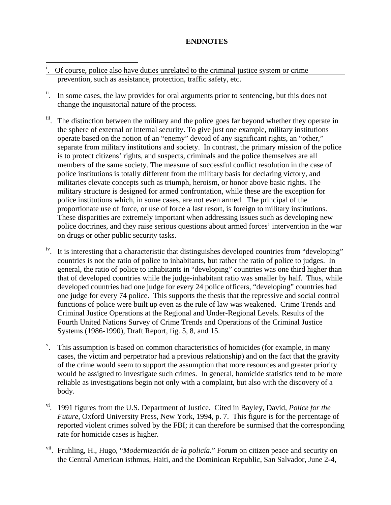#### **ENDNOTES**

- $\overline{a}$  $\ddot{\text{o}}$ . Of course, police also have duties unrelated to the criminal justice system or crime prevention, such as assistance, protection, traffic safety, etc.
- ii. In some cases, the law provides for oral arguments prior to sentencing, but this does not change the inquisitorial nature of the process.
- iii. The distinction between the military and the police goes far beyond whether they operate in the sphere of external or internal security. To give just one example, military institutions operate based on the notion of an "enemy" devoid of any significant rights, an "other," separate from military institutions and society. In contrast, the primary mission of the police is to protect citizens' rights, and suspects, criminals and the police themselves are all members of the same society. The measure of successful conflict resolution in the case of police institutions is totally different from the military basis for declaring victory, and militaries elevate concepts such as triumph, heroism, or honor above basic rights. The military structure is designed for armed confrontation, while these are the exception for police institutions which, in some cases, are not even armed. The principal of the proportionate use of force, or use of force a last resort, is foreign to military institutions. These disparities are extremely important when addressing issues such as developing new police doctrines, and they raise serious questions about armed forces' intervention in the war on drugs or other public security tasks.
- <sup>iv</sup>. It is interesting that a characteristic that distinguishes developed countries from "developing" countries is not the ratio of police to inhabitants, but rather the ratio of police to judges. In general, the ratio of police to inhabitants in "developing" countries was one third higher than that of developed countries while the judge-inhabitant ratio was smaller by half. Thus, while developed countries had one judge for every 24 police officers, "developing" countries had one judge for every 74 police. This supports the thesis that the repressive and social control functions of police were built up even as the rule of law was weakened. Crime Trends and Criminal Justice Operations at the Regional and Under-Regional Levels. Results of the Fourth United Nations Survey of Crime Trends and Operations of the Criminal Justice Systems (1986-1990), Draft Report, fig. 5, 8, and 15.
- <sup>v</sup>. This assumption is based on common characteristics of homicides (for example, in many cases, the victim and perpetrator had a previous relationship) and on the fact that the gravity of the crime would seem to support the assumption that more resources and greater priority would be assigned to investigate such crimes. In general, homicide statistics tend to be more reliable as investigations begin not only with a complaint, but also with the discovery of a body.
- vi. 1991 figures from the U.S. Department of Justice. Cited in Bayley, David, *Police for the Future*, Oxford University Press, New York, 1994, p. 7. This figure is for the percentage of reported violent crimes solved by the FBI; it can therefore be surmised that the corresponding rate for homicide cases is higher.
- vii. Fruhling, H., Hugo, "*Modernización de la policía*." Forum on citizen peace and security on the Central American isthmus, Haiti, and the Dominican Republic, San Salvador, June 2-4,